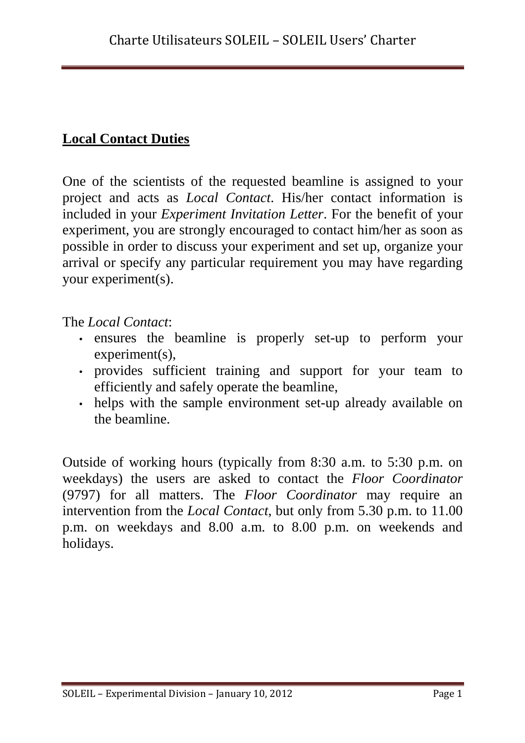## **Local Contact Duties**

One of the scientists of the requested beamline is assigned to your project and acts as *Local Contact*. His/her contact information is included in your *Experiment Invitation Letter*. For the benefit of your experiment, you are strongly encouraged to contact him/her as soon as possible in order to discuss your experiment and set up, organize your arrival or specify any particular requirement you may have regarding your experiment(s).

The *Local Contact*:

- ensures the beamline is properly set-up to perform your experiment(s),
- provides sufficient training and support for your team to efficiently and safely operate the beamline,
- helps with the sample environment set-up already available on the beamline.

Outside of working hours (typically from 8:30 a.m. to 5:30 p.m. on weekdays) the users are asked to contact the *Floor Coordinator* (9797) for all matters. The *Floor Coordinator* may require an intervention from the *Local Contact*, but only from 5.30 p.m. to 11.00 p.m. on weekdays and 8.00 a.m. to 8.00 p.m. on weekends and holidays.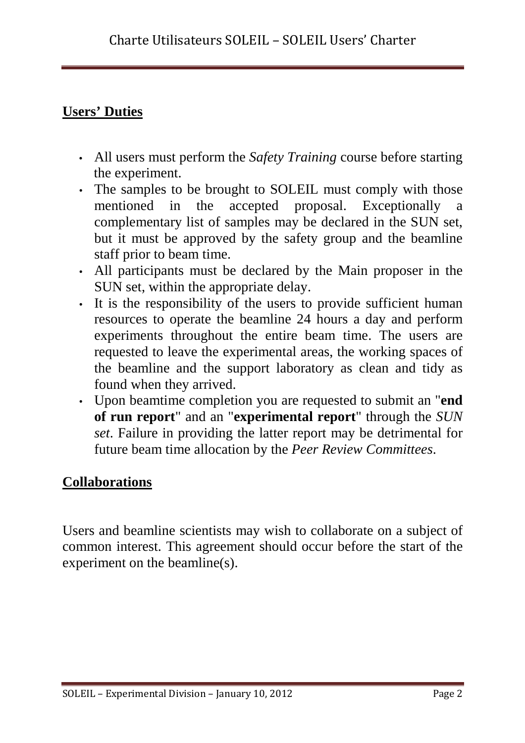## **Users' Duties**

- All users must perform the *Safety Training* course before starting the experiment.
- The samples to be brought to SOLEIL must comply with those mentioned in the accepted proposal. Exceptionally a complementary list of samples may be declared in the SUN set, but it must be approved by the safety group and the beamline staff prior to beam time.
- All participants must be declared by the Main proposer in the SUN set, within the appropriate delay.
- It is the responsibility of the users to provide sufficient human resources to operate the beamline 24 hours a day and perform experiments throughout the entire beam time. The users are requested to leave the experimental areas, the working spaces of the beamline and the support laboratory as clean and tidy as found when they arrived.
- Upon beamtime completion you are requested to submit an "**end of run report**" and an "**experimental report**" through the *SUN set*. Failure in providing the latter report may be detrimental for future beam time allocation by the *Peer Review Committees*.

## **Collaborations**

Users and beamline scientists may wish to collaborate on a subject of common interest. This agreement should occur before the start of the experiment on the beamline(s).